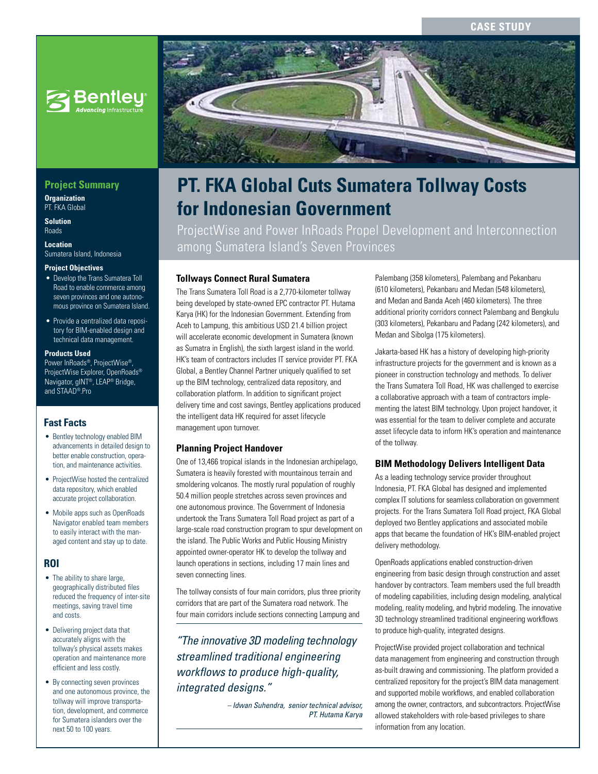### **CASE STUDY**



## **Project Summary**

**Organization** PT\_FKA Global

**Solution** Roads

**Location** Sumatera Island, Indonesia

#### **Project Objectives**

- Develop the Trans Sumatera Toll Road to enable commerce among seven provinces and one autonomous province on Sumatera Island.
- Provide a centralized data repository for BIM-enabled design and technical data management.

### **Products Used**

Power InRoads®, ProjectWise®, ProjectWise Explorer, OpenRoads® Navigator, gINT®, LEAP® Bridge, and STAAD®.Pro

### **Fast Facts**

- Bentley technology enabled BIM advancements in detailed design to better enable construction, operation, and maintenance activities.
- ProjectWise hosted the centralized data repository, which enabled accurate project collaboration.
- Mobile apps such as OpenRoads Navigator enabled team members to easily interact with the managed content and stay up to date.

## **ROI**

- The ability to share large, geographically distributed files reduced the frequency of inter-site meetings, saving travel time and costs.
- Delivering project data that accurately aligns with the tollway's physical assets makes operation and maintenance more efficient and less costly.
- By connecting seven provinces and one autonomous province, the tollway will improve transportation, development, and commerce for Sumatera islanders over the next 50 to 100 years.



# **PT. FKA Global Cuts Sumatera Tollway Costs for Indonesian Government**

ProjectWise and Power InRoads Propel Development and Interconnection among Sumatera Island's Seven Provinces

### **Tollways Connect Rural Sumatera**

The Trans Sumatera Toll Road is a 2,770-kilometer tollway being developed by state-owned EPC contractor PT. Hutama Karya (HK) for the Indonesian Government. Extending from Aceh to Lampung, this ambitious USD 21.4 billion project will accelerate economic development in Sumatera (known as Sumatra in English), the sixth largest island in the world. HK's team of contractors includes IT service provider PT. FKA Global, a Bentley Channel Partner uniquely qualified to set up the BIM technology, centralized data repository, and collaboration platform. In addition to significant project delivery time and cost savings, Bentley applications produced the intelligent data HK required for asset lifecycle management upon turnover.

### **Planning Project Handover**

One of 13,466 tropical islands in the Indonesian archipelago, Sumatera is heavily forested with mountainous terrain and smoldering volcanos. The mostly rural population of roughly 50.4 million people stretches across seven provinces and one autonomous province. The Government of Indonesia undertook the Trans Sumatera Toll Road project as part of a large-scale road construction program to spur development on the island. The Public Works and Public Housing Ministry appointed owner-operator HK to develop the tollway and launch operations in sections, including 17 main lines and seven connecting lines.

The tollway consists of four main corridors, plus three priority corridors that are part of the Sumatera road network. The four main corridors include sections connecting Lampung and

*"The innovative 3D modeling technology streamlined traditional engineering workflows to produce high-quality, integrated designs."*

> *– Idwan Suhendra, senior technical advisor, PT. Hutama Karya*

Palembang (358 kilometers), Palembang and Pekanbaru (610 kilometers), Pekanbaru and Medan (548 kilometers), and Medan and Banda Aceh (460 kilometers). The three additional priority corridors connect Palembang and Bengkulu (303 kilometers), Pekanbaru and Padang (242 kilometers), and Medan and Sibolga (175 kilometers).

Jakarta-based HK has a history of developing high-priority infrastructure projects for the government and is known as a pioneer in construction technology and methods. To deliver the Trans Sumatera Toll Road, HK was challenged to exercise a collaborative approach with a team of contractors implementing the latest BIM technology. Upon project handover, it was essential for the team to deliver complete and accurate asset lifecycle data to inform HK's operation and maintenance of the tollway.

### **BIM Methodology Delivers Intelligent Data**

As a leading technology service provider throughout Indonesia, PT. FKA Global has designed and implemented complex IT solutions for seamless collaboration on government projects. For the Trans Sumatera Toll Road project, FKA Global deployed two Bentley applications and associated mobile apps that became the foundation of HK's BIM-enabled project delivery methodology.

OpenRoads applications enabled construction-driven engineering from basic design through construction and asset handover by contractors. Team members used the full breadth of modeling capabilities, including design modeling, analytical modeling, reality modeling, and hybrid modeling. The innovative 3D technology streamlined traditional engineering workflows to produce high-quality, integrated designs.

ProjectWise provided project collaboration and technical data management from engineering and construction through as-built drawing and commissioning. The platform provided a centralized repository for the project's BIM data management and supported mobile workflows, and enabled collaboration among the owner, contractors, and subcontractors. ProjectWise allowed stakeholders with role-based privileges to share information from any location.